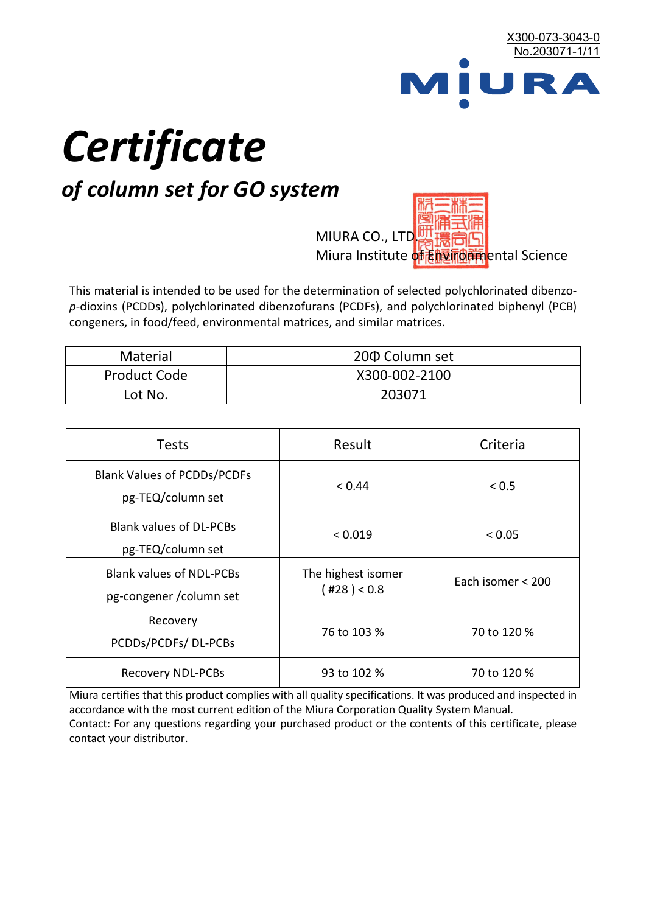

# *Certificate*

## *of column set for GO system*

MIURA CO., LTD. Miura Institute of 正版而解ental Science

This material is intended to be used for the determination of selected polychlorinated dibenzo*p*-dioxins (PCDDs), polychlorinated dibenzofurans (PCDFs), and polychlorinated biphenyl (PCB) congeners, in food/feed, environmental matrices, and similar matrices.

| <b>Material</b>     | 200 Column set |  |
|---------------------|----------------|--|
| <b>Product Code</b> | X300-002-2100  |  |
| Lot No.             | 203071         |  |

| <b>Tests</b>                                                | Result                            | Criteria          |  |
|-------------------------------------------------------------|-----------------------------------|-------------------|--|
| <b>Blank Values of PCDDs/PCDFs</b><br>pg-TEQ/column set     | < 0.44                            | ${}_{0.5}$        |  |
| <b>Blank values of DL-PCBs</b><br>pg-TEQ/column set         | < 0.019                           | < 0.05            |  |
| <b>Blank values of NDL-PCBs</b><br>pg-congener / column set | The highest isomer<br>(428) < 0.8 | Each isomer < 200 |  |
| Recovery<br>PCDDs/PCDFs/DL-PCBs                             | 76 to 103 %                       | 70 to 120 %       |  |
| <b>Recovery NDL-PCBs</b>                                    | 93 to 102 %                       | 70 to 120 %       |  |

Miura certifies that this product complies with all quality specifications. It was produced and inspected in accordance with the most current edition of the Miura Corporation Quality System Manual. Contact: For any questions regarding your purchased product or the contents of this certificate, please contact your distributor.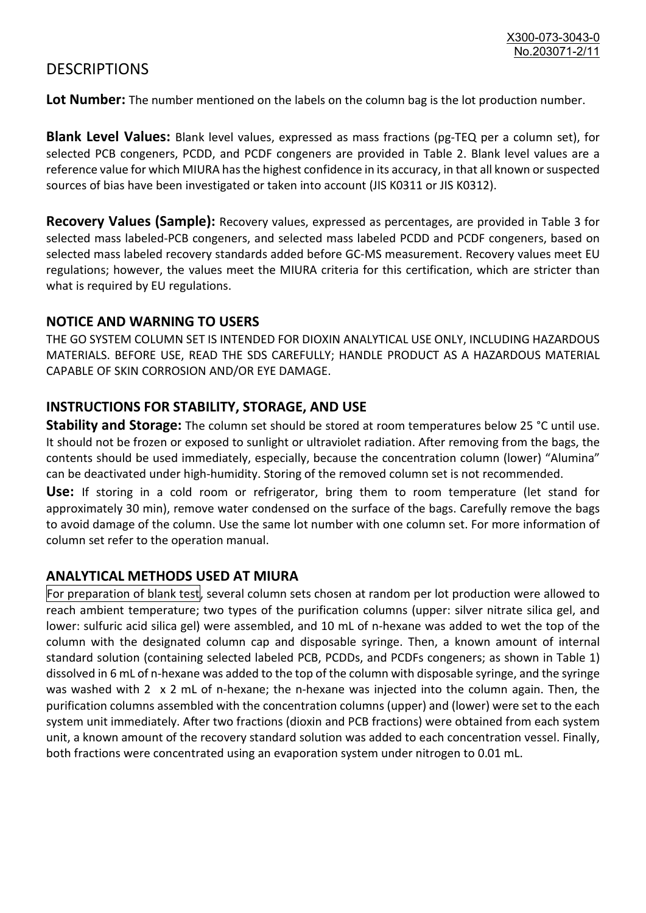### **DESCRIPTIONS**

**Lot Number:** The number mentioned on the labels on the column bag is the lot production number.

**Blank Level Values:** Blank level values, expressed as mass fractions (pg-TEQ per a column set), for selected PCB congeners, PCDD, and PCDF congeners are provided in Table 2. Blank level values are a reference value for which MIURA has the highest confidence in its accuracy, in that all known or suspected sources of bias have been investigated or taken into account (JIS K0311 or JIS K0312).

**Recovery Values (Sample):** Recovery values, expressed as percentages, are provided in Table 3 for selected mass labeled-PCB congeners, and selected mass labeled PCDD and PCDF congeners, based on selected mass labeled recovery standards added before GC-MS measurement. Recovery values meet EU regulations; however, the values meet the MIURA criteria for this certification, which are stricter than what is required by EU regulations.

#### **NOTICE AND WARNING TO USERS**

THE GO SYSTEM COLUMN SET IS INTENDED FOR DIOXIN ANALYTICAL USE ONLY, INCLUDING HAZARDOUS MATERIALS. BEFORE USE, READ THE SDS CAREFULLY; HANDLE PRODUCT AS A HAZARDOUS MATERIAL CAPABLE OF SKIN CORROSION AND/OR EYE DAMAGE.

#### **INSTRUCTIONS FOR STABILITY, STORAGE, AND USE**

**Stability and Storage:** The column set should be stored at room temperatures below 25 °C until use. It should not be frozen or exposed to sunlight or ultraviolet radiation. After removing from the bags, the contents should be used immediately, especially, because the concentration column (lower) "Alumina" can be deactivated under high-humidity. Storing of the removed column set is not recommended.

**Use:** If storing in a cold room or refrigerator, bring them to room temperature (let stand for approximately 30 min), remove water condensed on the surface of the bags. Carefully remove the bags to avoid damage of the column. Use the same lot number with one column set. For more information of column set refer to the operation manual.

#### **ANALYTICAL METHODS USED AT MIURA**

For preparation of blank test, several column sets chosen at random per lot production were allowed to reach ambient temperature; two types of the purification columns (upper: silver nitrate silica gel, and lower: sulfuric acid silica gel) were assembled, and 10 mL of n-hexane was added to wet the top of the column with the designated column cap and disposable syringe. Then, a known amount of internal standard solution (containing selected labeled PCB, PCDDs, and PCDFs congeners; as shown in Table 1) dissolved in 6 mL of n-hexane was added to the top of the column with disposable syringe, and the syringe was washed with 2 x 2 mL of n-hexane; the n-hexane was injected into the column again. Then, the purification columns assembled with the concentration columns (upper) and (lower) were set to the each system unit immediately. After two fractions (dioxin and PCB fractions) were obtained from each system unit, a known amount of the recovery standard solution was added to each concentration vessel. Finally, both fractions were concentrated using an evaporation system under nitrogen to 0.01 mL.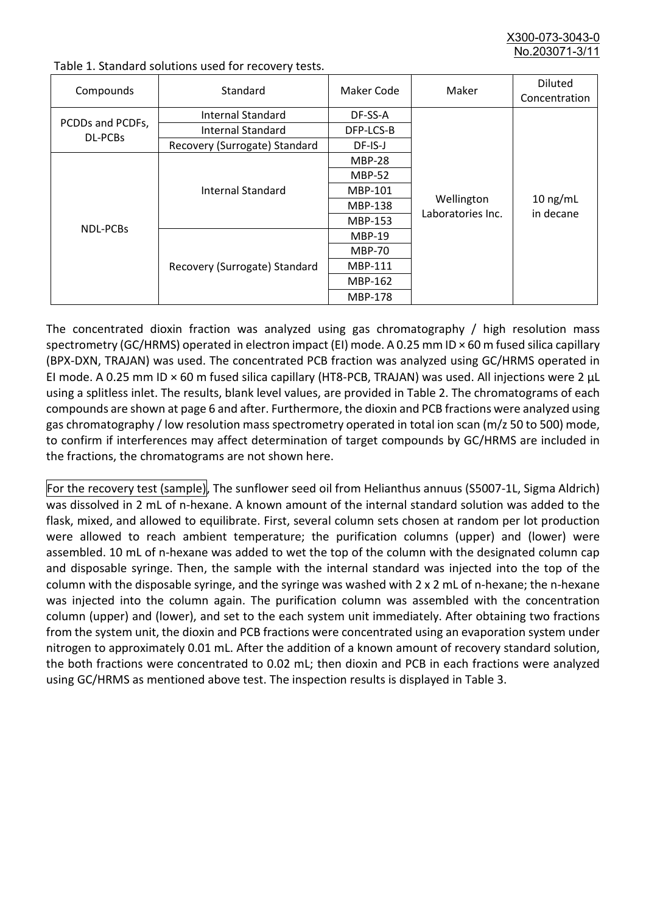X300-073-3043-0 No.203071-3/

| Compounds                   | Standard                      | Maker Code     | Maker                           | <b>Diluted</b><br>Concentration |
|-----------------------------|-------------------------------|----------------|---------------------------------|---------------------------------|
| PCDDs and PCDFs,<br>DL-PCBs | Internal Standard             | DF-SS-A        |                                 | $10$ ng/mL<br>in decane         |
|                             | <b>Internal Standard</b>      | DFP-LCS-B      | Wellington<br>Laboratories Inc. |                                 |
|                             | Recovery (Surrogate) Standard | DF-IS-J        |                                 |                                 |
| NDL-PCBs                    | Internal Standard             | <b>MBP-28</b>  |                                 |                                 |
|                             |                               | <b>MBP-52</b>  |                                 |                                 |
|                             |                               | MBP-101        |                                 |                                 |
|                             |                               | <b>MBP-138</b> |                                 |                                 |
|                             |                               | MBP-153        |                                 |                                 |
|                             | Recovery (Surrogate) Standard | <b>MBP-19</b>  |                                 |                                 |
|                             |                               | <b>MBP-70</b>  |                                 |                                 |
|                             |                               | <b>MBP-111</b> |                                 |                                 |
|                             |                               | MBP-162        |                                 |                                 |
|                             |                               | <b>MBP-178</b> |                                 |                                 |

Table 1. Standard solutions used for recovery tests.

The concentrated dioxin fraction was analyzed using gas chromatography / high resolution mass spectrometry (GC/HRMS) operated in electron impact (EI) mode. A 0.25 mm ID × 60 m fused silica capillary (BPX-DXN, TRAJAN) was used. The concentrated PCB fraction was analyzed using GC/HRMS operated in EI mode. A 0.25 mm ID × 60 m fused silica capillary (HT8-PCB, TRAJAN) was used. All injections were 2 μL using a splitless inlet. The results, blank level values, are provided in Table 2. The chromatograms of each compounds are shown at page 6 and after. Furthermore, the dioxin and PCB fractions were analyzed using gas chromatography / low resolution mass spectrometry operated in total ion scan (m/z 50 to 500) mode, to confirm if interferences may affect determination of target compounds by GC/HRMS are included in the fractions, the chromatograms are not shown here.

For the recovery test (sample), The sunflower seed oil from Helianthus annuus (S5007-1L, Sigma Aldrich) was dissolved in 2 mL of n-hexane. A known amount of the internal standard solution was added to the flask, mixed, and allowed to equilibrate. First, several column sets chosen at random per lot production were allowed to reach ambient temperature; the purification columns (upper) and (lower) were assembled. 10 mL of n-hexane was added to wet the top of the column with the designated column cap and disposable syringe. Then, the sample with the internal standard was injected into the top of the column with the disposable syringe, and the syringe was washed with 2 x 2 mL of n-hexane; the n-hexane was injected into the column again. The purification column was assembled with the concentration column (upper) and (lower), and set to the each system unit immediately. After obtaining two fractions from the system unit, the dioxin and PCB fractions were concentrated using an evaporation system under nitrogen to approximately 0.01 mL. After the addition of a known amount of recovery standard solution, the both fractions were concentrated to 0.02 mL; then dioxin and PCB in each fractions were analyzed using GC/HRMS as mentioned above test. The inspection results is displayed in Table 3.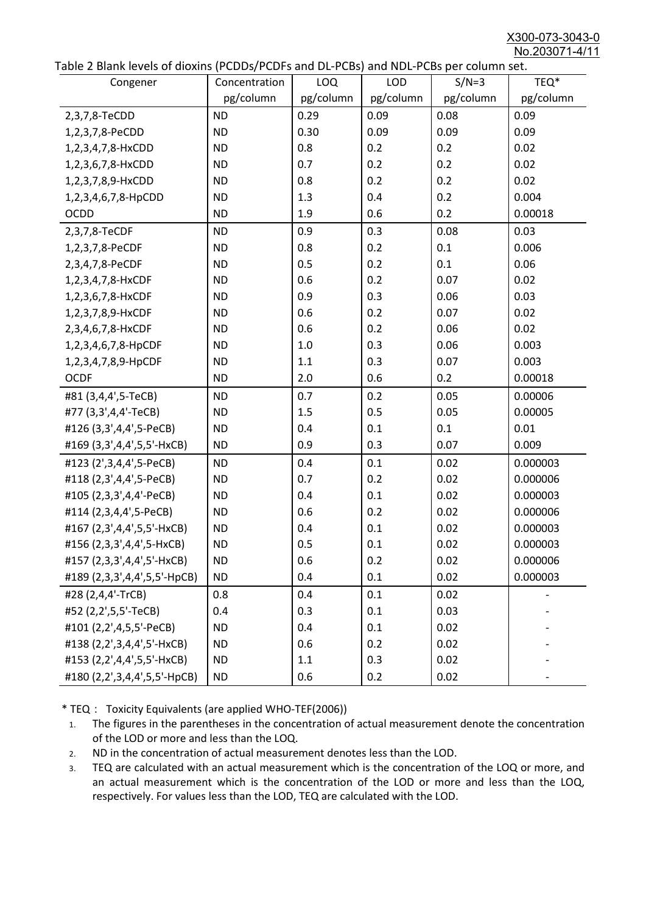X300-073-3043-0 No.203071-4/11

| able 2 Diarik levels of dioxins (FCDD3/FCDF3 and DL-FCD3) and NDL-FCD3 per column set.<br>Congener | Concentration | <b>LOQ</b> | <b>LOD</b> | $S/N=3$   | TEQ*      |
|----------------------------------------------------------------------------------------------------|---------------|------------|------------|-----------|-----------|
|                                                                                                    | pg/column     | pg/column  | pg/column  | pg/column | pg/column |
| 2,3,7,8-TeCDD                                                                                      | <b>ND</b>     | 0.29       | 0.09       | 0.08      | 0.09      |
| 1,2,3,7,8-PeCDD                                                                                    | <b>ND</b>     | 0.30       | 0.09       | 0.09      | 0.09      |
| 1,2,3,4,7,8-HxCDD                                                                                  | <b>ND</b>     | 0.8        | 0.2        | 0.2       | 0.02      |
| 1,2,3,6,7,8-HxCDD                                                                                  | <b>ND</b>     | 0.7        | 0.2        | 0.2       | 0.02      |
| 1,2,3,7,8,9-HxCDD                                                                                  | <b>ND</b>     | 0.8        | 0.2        | 0.2       | 0.02      |
| 1,2,3,4,6,7,8-HpCDD                                                                                | <b>ND</b>     | 1.3        | 0.4        | 0.2       | 0.004     |
| <b>OCDD</b>                                                                                        | <b>ND</b>     | 1.9        | 0.6        | 0.2       | 0.00018   |
| 2,3,7,8-TeCDF                                                                                      | <b>ND</b>     | 0.9        | 0.3        | 0.08      | 0.03      |
| 1,2,3,7,8-PeCDF                                                                                    | <b>ND</b>     | 0.8        | 0.2        | 0.1       | 0.006     |
| 2,3,4,7,8-PeCDF                                                                                    | <b>ND</b>     | 0.5        | 0.2        | 0.1       | 0.06      |
| 1,2,3,4,7,8-HxCDF                                                                                  | <b>ND</b>     | 0.6        | 0.2        | 0.07      | 0.02      |
| 1,2,3,6,7,8-HxCDF                                                                                  | <b>ND</b>     | 0.9        | 0.3        | 0.06      | 0.03      |
| 1,2,3,7,8,9-HxCDF                                                                                  | <b>ND</b>     | 0.6        | 0.2        | 0.07      | 0.02      |
| 2,3,4,6,7,8-HxCDF                                                                                  | <b>ND</b>     | 0.6        | 0.2        | 0.06      | 0.02      |
| 1,2,3,4,6,7,8-HpCDF                                                                                | <b>ND</b>     | 1.0        | 0.3        | 0.06      | 0.003     |
| 1,2,3,4,7,8,9-HpCDF                                                                                | <b>ND</b>     | 1.1        | 0.3        | 0.07      | 0.003     |
| <b>OCDF</b>                                                                                        | <b>ND</b>     | 2.0        | 0.6        | 0.2       | 0.00018   |
| #81 (3,4,4',5-TeCB)                                                                                | <b>ND</b>     | 0.7        | 0.2        | 0.05      | 0.00006   |
| #77 (3,3',4,4'-TeCB)                                                                               | <b>ND</b>     | 1.5        | 0.5        | 0.05      | 0.00005   |
| #126 (3,3',4,4',5-PeCB)                                                                            | <b>ND</b>     | 0.4        | 0.1        | 0.1       | 0.01      |
| #169 (3,3',4,4',5,5'-HxCB)                                                                         | <b>ND</b>     | 0.9        | 0.3        | 0.07      | 0.009     |
| #123 (2',3,4,4',5-PeCB)                                                                            | <b>ND</b>     | 0.4        | 0.1        | 0.02      | 0.000003  |
| #118 (2,3',4,4',5-PeCB)                                                                            | <b>ND</b>     | 0.7        | 0.2        | 0.02      | 0.000006  |
| #105 (2,3,3',4,4'-PeCB)                                                                            | <b>ND</b>     | 0.4        | 0.1        | 0.02      | 0.000003  |
| #114 (2,3,4,4',5-PeCB)                                                                             | <b>ND</b>     | 0.6        | 0.2        | 0.02      | 0.000006  |
| #167 (2,3',4,4',5,5'-HxCB)                                                                         | <b>ND</b>     | 0.4        | 0.1        | 0.02      | 0.000003  |
| #156 (2,3,3',4,4',5-HxCB)                                                                          | <b>ND</b>     | 0.5        | 0.1        | 0.02      | 0.000003  |
| #157 (2,3,3',4,4',5'-HxCB)                                                                         | <b>ND</b>     | 0.6        | 0.2        | 0.02      | 0.000006  |
| #189 (2,3,3',4,4',5,5'-HpCB)                                                                       | <b>ND</b>     | 0.4        | 0.1        | 0.02      | 0.000003  |
| #28 (2,4,4'-TrCB)                                                                                  | 0.8           | 0.4        | 0.1        | 0.02      |           |
| #52 (2,2',5,5'-TeCB)                                                                               | 0.4           | 0.3        | 0.1        | 0.03      |           |
| #101 (2,2',4,5,5'-PeCB)                                                                            | <b>ND</b>     | 0.4        | 0.1        | 0.02      |           |
| #138 (2,2',3,4,4',5'-HxCB)                                                                         | <b>ND</b>     | 0.6        | 0.2        | 0.02      |           |
| #153 (2,2',4,4',5,5'-HxCB)                                                                         | <b>ND</b>     | 1.1        | 0.3        | 0.02      |           |
| #180 (2,2',3,4,4',5,5'-HpCB)                                                                       | <b>ND</b>     | 0.6        | 0.2        | 0.02      |           |

\* TEQ: Toxicity Equivalents (are applied WHO-TEF(2006))

- 1. The figures in the parentheses in the concentration of actual measurement denote the concentration of the LOD or more and less than the LOQ.
- 2. ND in the concentration of actual measurement denotes less than the LOD.
- 3. TEQ are calculated with an actual measurement which is the concentration of the LOQ or more, and an actual measurement which is the concentration of the LOD or more and less than the LOQ, respectively. For values less than the LOD, TEQ are calculated with the LOD.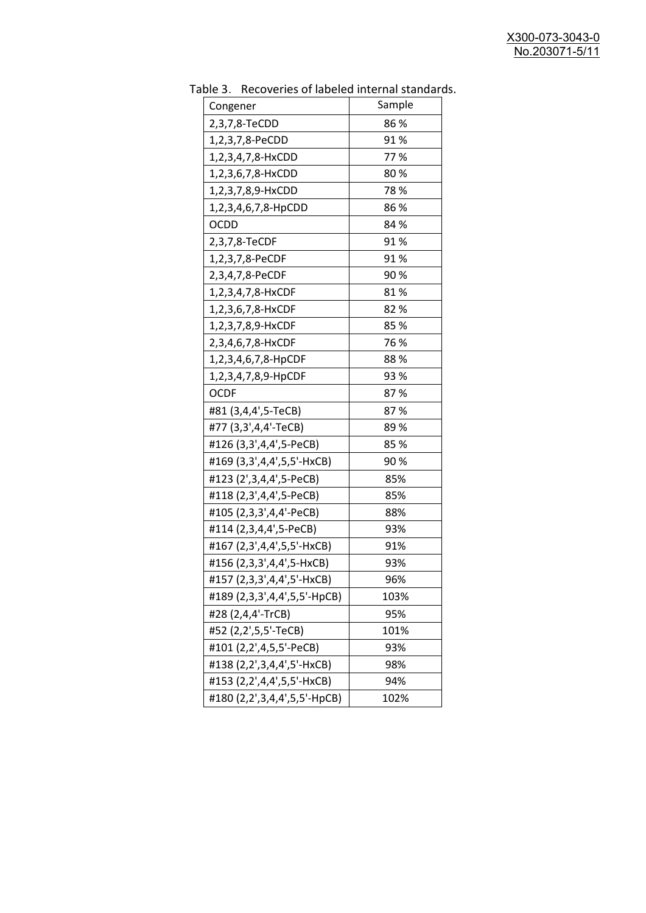| uwic<br><u>RECOVERTS OF RESERVANCEMENT STATION</u> | Sample |
|----------------------------------------------------|--------|
| Congener                                           |        |
| 2,3,7,8-TeCDD                                      | 86 %   |
| 1,2,3,7,8-PeCDD                                    | 91%    |
| 1,2,3,4,7,8-HxCDD                                  | 77%    |
| 1,2,3,6,7,8-HxCDD                                  | 80%    |
| 1,2,3,7,8,9-HxCDD                                  | 78%    |
| 1,2,3,4,6,7,8-HpCDD                                | 86%    |
| <b>OCDD</b>                                        | 84 %   |
| 2,3,7,8-TeCDF                                      | 91%    |
| 1,2,3,7,8-PeCDF                                    | 91%    |
| 2,3,4,7,8-PeCDF                                    | 90%    |
| 1,2,3,4,7,8-HxCDF                                  | 81%    |
| 1,2,3,6,7,8-HxCDF                                  | 82 %   |
| 1,2,3,7,8,9-HxCDF                                  | 85%    |
| 2,3,4,6,7,8-HxCDF                                  | 76 %   |
| 1,2,3,4,6,7,8-HpCDF                                | 88%    |
| 1,2,3,4,7,8,9-HpCDF                                | 93 %   |
| OCDF                                               | 87%    |
| #81 (3,4,4',5-TeCB)                                | 87%    |
| #77 (3,3',4,4'-TeCB)                               | 89%    |
| #126 (3,3',4,4',5-PeCB)                            | 85%    |
| #169 (3,3',4,4',5,5'-HxCB)                         | 90%    |
| #123 (2',3,4,4',5-PeCB)                            | 85%    |
| #118 (2,3',4,4',5-PeCB)                            | 85%    |
| #105 (2,3,3',4,4'-PeCB)                            | 88%    |
| #114 (2,3,4,4',5-PeCB)                             | 93%    |
| #167 (2,3',4,4',5,5'-HxCB)                         | 91%    |
| #156 (2,3,3',4,4',5-HxCB)                          | 93%    |
| #157 (2,3,3',4,4',5'-HxCB)                         | 96%    |
| #189 (2,3,3',4,4',5,5'-HpCB)                       | 103%   |
| #28 (2,4,4'-TrCB)                                  | 95%    |
| #52 (2,2',5,5'-TeCB)                               | 101%   |
| #101 (2,2',4,5,5'-PeCB)                            | 93%    |
| #138 (2,2',3,4,4',5'-HxCB)                         | 98%    |
| #153 (2,2',4,4',5,5'-HxCB)                         | 94%    |
| #180 (2,2',3,4,4',5,5'-HpCB)                       | 102%   |
|                                                    |        |

Table 3. Recoveries of labeled internal standards.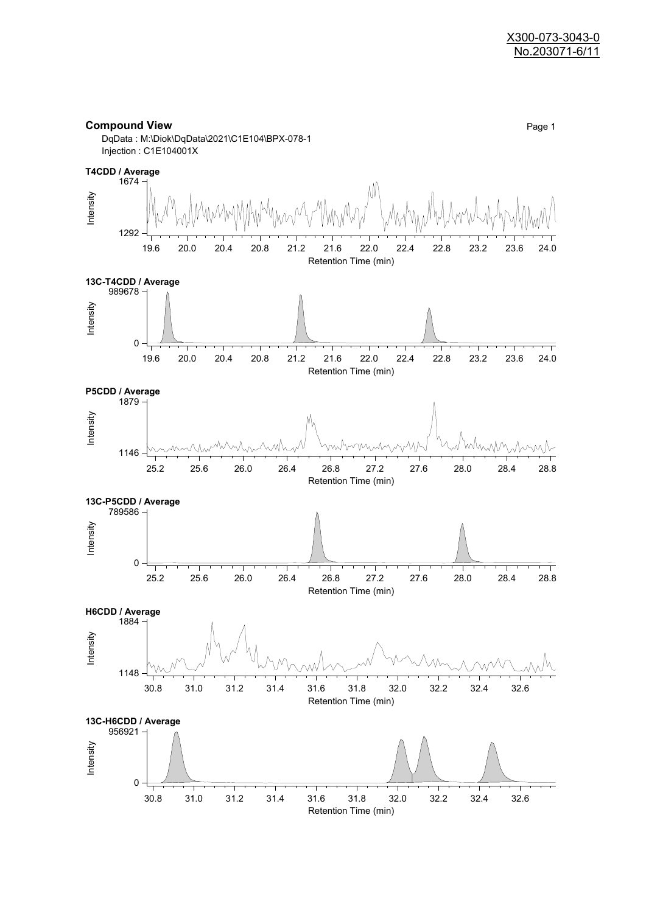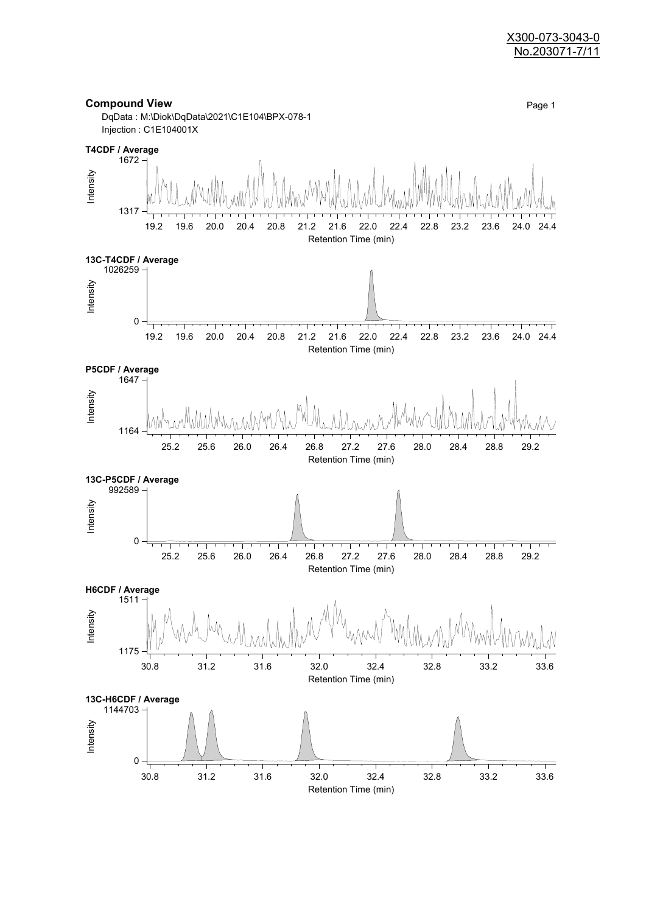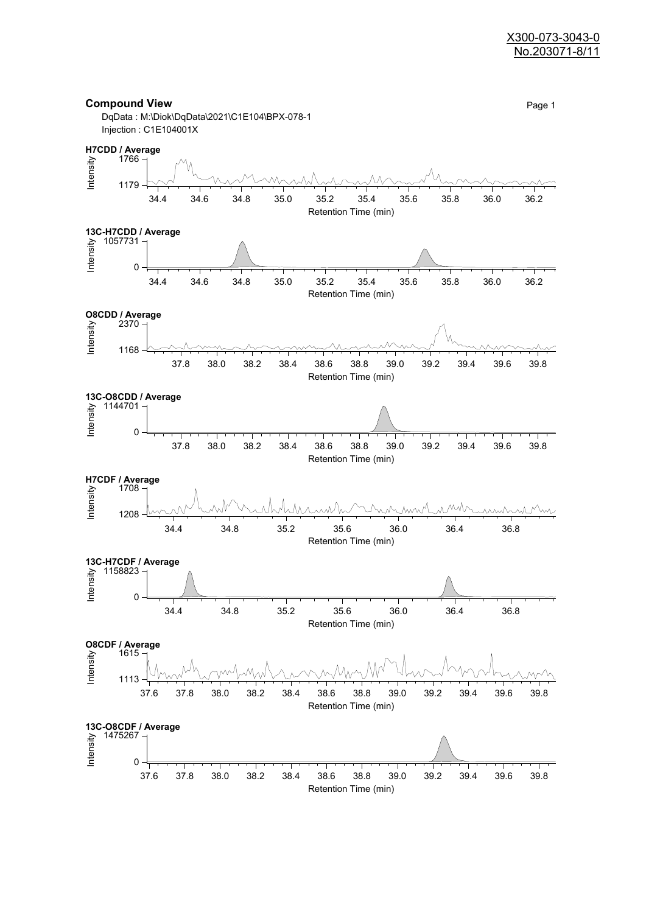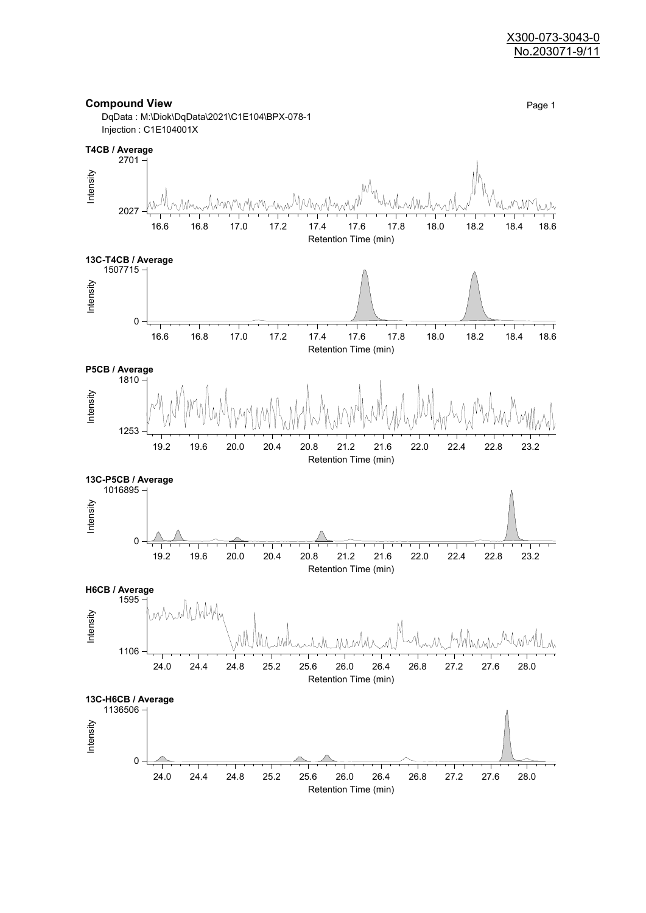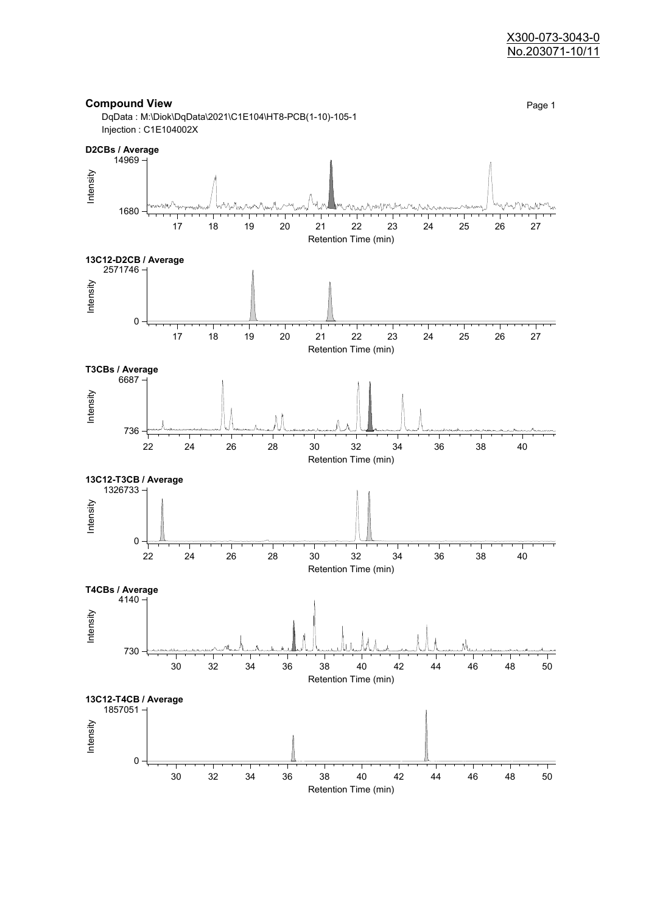